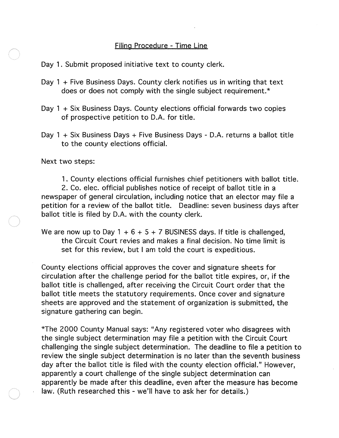## Filing Procedure - Time line

Day 1. Submit proposed initiative text to county clerk.

- Day 1 + Five Business Days. County clerk notifies us in writing that text does or does not comply with the single subject requirement. \*
- Day 1 + Six Business Days. County elections official forwards two copies of prospective petition to D.A. for title.
- Day 1 + Six Business Days + Five Business Days D.A. returns a ballot title to the county elections official.

Next two steps:

1 . County elections official furnishes chief petitioners with ballot title. 2. Co. elec. official publishes notice of receipt of ballot title in a newspaper of general circulation, including notice that an elector may file a petition for a review of the ballot title. Deadline: seven business days after ballot title is filed by D.A. with the county clerk.

We are now up to Day 1 + 6 + 5 + 7 BUSINESS days. If title is challenged, the Circuit Court revies and makes a final decision. No time limit is set for this review, but I am told the court is expeditious.

County elections official approves the cover and signature sheets for circulation after the challenge period for the ballot title expires, or, if the ballot title is challenged, after receiving the Circuit Court order that the ballot title meets the statutory requirements. Once cover and signature sheets are approved and the statement of organization is submitted, the signature gathering can begin.

\*The 2000 County Manual says: "Any registered voter who disagrees with the single subject determination may file a petition with the Circuit Court challenging the single subject determination. The deadline to file a petition to review the single subject determination is no later than the seventh business day after the ballot title is filed with the county election officiaL" However, apparently a court challenge of the single subject determination can apparently be made after this deadline, even after the measure has become law. (Ruth researched this - we'll have to ask her for details.)